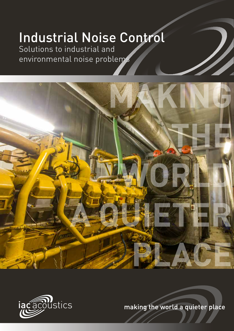## Industrial Noise Control

Solutions to industrial and environmental noise problems





making the world a quieter place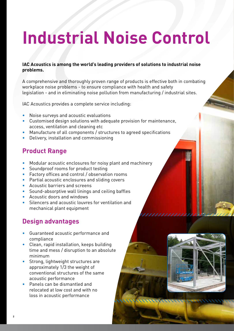# **Industrial Noise Control**

### **IAC Acoustics is among the world's leading providers of solutions to industrial noise problems.**

A comprehensive and thoroughly proven range of products is effective both in combating workplace noise problems - to ensure compliance with health and safety legislation - and in eliminating noise pollution from manufacturing / industrial sites.

IAC Acoustics provides a complete service including:

- Noise surveys and acoustic evaluations
- Customised design solutions with adequate provision for maintenance, access, ventilation and cleaning etc
- Manufacture of all components / structures to agreed specifications
- Delivery, installation and commissioning

### **Product Range**

- Modular acoustic enclosures for noisy plant and machinery
- Soundproof rooms for product testing
- Factory offices and control / observation rooms
- Partial acoustic enclosures and sliding covers
- Acoustic barriers and screens
- Sound-absorptive wall linings and ceiling baffles
- Acoustic doors and windows
- Silencers and acoustic louvres for ventilation and mechanical plant equipment

### **Design advantages**

- Guaranteed acoustic performance and compliance
- Clean, rapid installation, keeps building time and mess / disruption to an absolute minimum
- Strong, lightweight structures are approximately 1/3 the weight of conventional structures of the same acoustic performance
- Panels can be dismantled and relocated at low cost and with no loss in acoustic performance

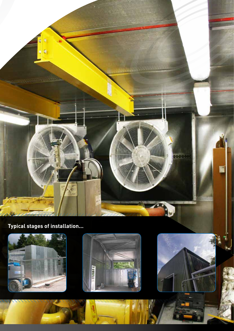

**Typical stages of installation...**





٩ļ



**3**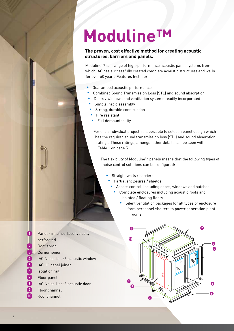## **ModulineTM**

#### **The proven, cost effective method for creating acoustic structures, barriers and panels.**

Moduline™ is a range of high-performance acoustic panel systems from which IAC has successfully created complete acoustic structures and walls for over 60 years. Features Include:

- Guaranteed acoustic performance
- Combined Sound Transmission Loss (STL) and sound absorption
- Doors / windows and ventilation systems readily incorporated
- Simple, rapid assembly
- **•** Strong, durable construction
- $\cdot$  Fire resistant
- Full demountability

For each individual project, it is possible to select a panel design which has the required sound transmission loss (STL) and sound absorption ratings. These ratings, amongst other details can be seen within Table 1 on page 5.

The flexibility of Moduline™ panels means that the following types of noise control solutions can be configured:

- Straight walls / barriers
	- Partial enclosures / shields
	- Access control, including doors, windows and hatches
		- Complete enclosures including acoustic roofs and isolated / floating floors
			- Silent ventilation packages for all types of enclosure from personnel shelters to power generation plant rooms
- Panel inner surface typically perforated Roof apron Corner joiner IAC Noise-Lock® acoustic window IAC 'H' panel joiner Isolation rail Floor panel IAC Noise-Lock® acoustic door Floor channel Roof channel **1 2 3 4 5 6 7 8 9 10**

**4**

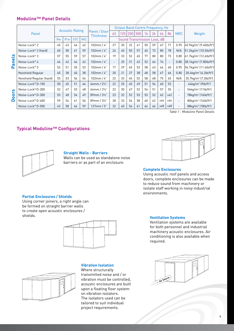#### **Moduline™ Panel Details**

|                             |                                  |                        |     |            |            | Panel / Door<br><b>Thickness</b> | <b>Octave Band Centre Frequency, Hz</b> |     |     |    |    |    |     |                          |                          |                                                     |
|-----------------------------|----------------------------------|------------------------|-----|------------|------------|----------------------------------|-----------------------------------------|-----|-----|----|----|----|-----|--------------------------|--------------------------|-----------------------------------------------------|
|                             | Panel                            | <b>Acoustic Rating</b> |     |            | 63         |                                  | 25                                      | 250 | 500 | 1k | 2k | 4k | 8k  | <b>NRC</b>               | Weight                   |                                                     |
|                             |                                  | Rw                     | R'w | <b>STC</b> | <b>NIC</b> |                                  | Sound Transmission Loss, dB             |     |     |    |    |    |     |                          |                          |                                                     |
| Panels<br><b>OOI'S</b><br>Ω | Noise-Lock® 2                    | 45                     | 43  | 44         | 42         | 102mm/4"                         | 27                                      | 30  | 32  | 41 | 50 | 59 | 67  | 71                       | 0.95                     | 45.9kg/m <sup>2</sup> (9.40lb/ft <sup>2</sup> )     |
|                             | Noise-Lock <sup>®</sup> 2 (hard) | 60                     | 58  | 61         | 59         | 102mm / $4"$                     | 24                                      | 40  | 50  | 57 | 65 | 73 | 80  | 78                       | N/A                      | $ 51.2$ kg/m <sup>2</sup> (10.5lb/ft <sup>2</sup> ) |
|                             | Noise-Lock® 3                    | 57                     | 55  | 59         | 57         | 102mm/4"                         | 19                                      | 33  | 52  | 65 | 77 | 80 | 80  | 73                       | 0.80                     | 61.7kg/m <sup>2</sup> (12.6lb/ft <sup>2</sup> )     |
|                             | Noise-Lock® 4                    | 44                     | 42  | 44         | 42         | 102mm / $4"$                     | $\overline{\phantom{a}}$                | 25  | 31  | 43 | 52 | 64 | 74  | $\overline{\phantom{a}}$ | 0.80                     | $38.1 \text{kg/m}^2$ (7.80lb/ft <sup>2</sup> )      |
|                             | Noise-Lock® 5                    | 53                     | 51  | 55         | 53         | 102mm/4"                         | 17                                      | 29  | 45  | 53 | 58 | 63 | 64  | 60                       | 0.95                     | 56.7kg/m <sup>2</sup> (11.6lb/ft <sup>2</sup> )     |
|                             | Noishield Regular                | 40                     | 38  | 40         | 38         | 102mm / $4"$                     | 20                                      | 21  | 27  | 38 | 48 | 58 | 67  | 66                       | 0.80                     | 30.4kg/m <sup>2</sup> (6.2lb/ft <sup>2</sup> )      |
|                             | Noishield Regular (hard)         | 55                     | 53  | 56         | 54         | 102mm/4"                         | 22                                      | 33  | 45  | 52 | 58 | 68 | 75  | 65                       | N/A                      | 35.7kg/m <sup>2</sup> (7.3lb/ft <sup>2</sup> )      |
|                             | Noise-Lock® D-100                | 50                     | 45  | 51         | 46         | $64$ mm / $2\frac{1}{2}$ "       | 22                                      | 25  | 45  | 49 | 51 | 54 | 60  | 52                       | $\overline{\phantom{0}}$ | $44$ kg/m <sup>2</sup> (9lb/ft <sup>2</sup> )       |
|                             | Noise-Lock® D-200                | 52                     | 47  | 53         | 48         | $64$ mm / $2\frac{1}{2}$ "       | 22                                      | 30  | 47  | 52 | 54 | 51 | 57  | 55                       | $\overline{\phantom{0}}$ | $54$ kg/m <sup>2</sup> (11lb/ft <sup>2</sup> )      |
|                             | Noise-Lock® D-300                | 53                     | 48  | 54         | 49         | $89$ mm / $3\frac{1}{2}$ "       | 23                                      | 32  | 52  | 53 | 53 | 52 | 62  | $\ge 62$                 | $\overline{\phantom{0}}$ | 78kg/m <sup>2</sup> (16lb/ft <sup>2</sup> )         |
|                             | Noise-Lock® D-400                | 59                     | 54  | 61         | 56         | $89$ mm / $3\frac{1}{2}$ "       | 28                                      | 33  | 54  | 58 | 60 | 62 | >66 | >66                      | $\overline{\phantom{0}}$ | 80kg/m <sup>2</sup> (16lb/ft <sup>2</sup> )         |
|                             | Noise-Lock® D-500                | 63                     | 58  | 64         | 59         | $127$ mm / $5"$                  | 32                                      | 40  | 56  | 61 | 64 | 66 | >68 | $\geq 68$                |                          | 88kg/m <sup>2</sup> (18lb/ft <sup>2</sup> )         |

Table 1 - Moduline Panel Details

#### **Typical Moduline™ Configurations**



#### **Straight Walls - Barriers**

Walls can be used as standalone noise barriers or as part of an enclosure.

#### **Complete Enclosures**

Using acoustic roof panels and access doors, complete enclosures can be made to reduce sound from machinery or isolate staff working in noisy industrial environments.

#### **Partial Enclosures / Shields**

Using corner joiners, a right angle can be formed on straight barrier walls to create open acoustic enclosures / shields.





#### **Vibration Isolation**

Where structurally transmitted noise and / or vibration must be controlled, acoustic enclosures are built upon a floating floor system on vibration isolators. The isolators used can be tailored to suit individual project requirements.

#### **Ventilation Systems**

Ventilation systems are available for both personnel and industrial machinery acoustic enclosures. Air conditioning is also available when required.

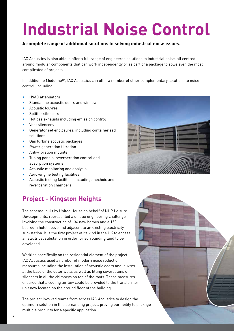# **Industrial Noise Control**

### **A complete range of additional solutions to solving industrial noise issues.**

IAC Acoustics is also able to offer a full range of engineered solutions to industrial noise, all centred around modular components that can work independently or as part of a package to solve even the most complicated of projects.

In addition to Moduline™, IAC Acoustics can offer a number of other complementary solutions to noise control, including:

- HVAC attenuators
- Standalone acoustic doors and windows
- Acoustic louvres
- Splitter silencers
- Hot gas exhausts including emission control
- Vent silencers
- Generator set enclosures, including containerised solutions
- Gas turbine acoustic packages
- Power generation filtration
- Anti-vibration mounts
- Tuning panels, reverberation control and absorption systems
- Acoustic monitoring and analysis
- Aero-engine testing facilities
- Acoustic testing facilities, including anechoic and reverberation chambers

## **Project - Kingston Heights**

The scheme, built by United House on behalf of NHP Leisure Developments, represented a unique engineering challenge involving the construction of 136 new homes and a 150 bedroom hotel above and adjacent to an existing electricity sub-station. It is the first project of its kind in the UK to encase an electrical substation in order for surrounding land to be developed.

Working specifically on the residential element of the project, IAC Acoustics used a number of modern noise reduction measures including the installation of acoustic doors and louvres at the base of the outer walls as well as fitting several tons of silencers in all the chimneys on top of the roofs. These measures ensured that a cooling airflow could be provided to the transformer unit now located on the ground floor of the building.

The project involved teams from across IAC Acoustics to design the optimum solution in this demanding project, proving our ability to package multiple products for a specific application.



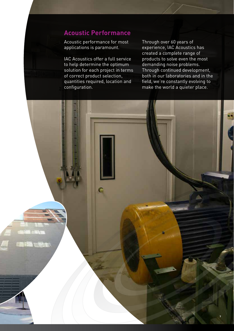### **Acoustic Performance**

Acoustic performance for most applications is paramount.

IAC Acoustics offer a full service to help determine the optimum solution for each project in terms of correct product selection, quantities required, location and configuration.

Through over 60 years of experience, IAC Acoustics has created a complete range of products to solve even the most demanding noise problems. Through continued development, both in our laboratories and in the field, we're constantly evolving to make the world a quieter place.